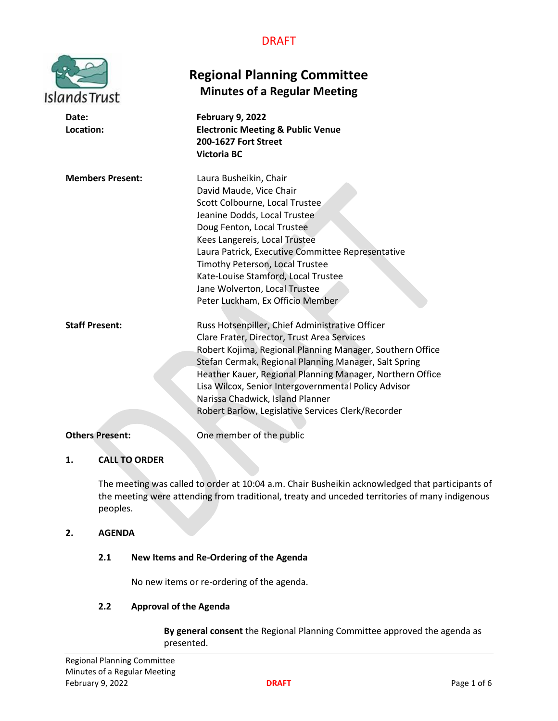| <b>Islands Trust</b>    | <b>Regional Planning Committee</b><br><b>Minutes of a Regular Meeting</b>                                                                                                                                                                                                                                                                                                                                                           |
|-------------------------|-------------------------------------------------------------------------------------------------------------------------------------------------------------------------------------------------------------------------------------------------------------------------------------------------------------------------------------------------------------------------------------------------------------------------------------|
| Date:<br>Location:      | February 9, 2022<br><b>Electronic Meeting &amp; Public Venue</b><br><b>200-1627 Fort Street</b><br><b>Victoria BC</b>                                                                                                                                                                                                                                                                                                               |
| <b>Members Present:</b> | Laura Busheikin, Chair<br>David Maude, Vice Chair<br>Scott Colbourne, Local Trustee<br>Jeanine Dodds, Local Trustee<br>Doug Fenton, Local Trustee<br>Kees Langereis, Local Trustee<br>Laura Patrick, Executive Committee Representative<br>Timothy Peterson, Local Trustee<br>Kate-Louise Stamford, Local Trustee<br>Jane Wolverton, Local Trustee<br>Peter Luckham, Ex Officio Member                                              |
| <b>Staff Present:</b>   | Russ Hotsenpiller, Chief Administrative Officer<br>Clare Frater, Director, Trust Area Services<br>Robert Kojima, Regional Planning Manager, Southern Office<br>Stefan Cermak, Regional Planning Manager, Salt Spring<br>Heather Kauer, Regional Planning Manager, Northern Office<br>Lisa Wilcox, Senior Intergovernmental Policy Advisor<br>Narissa Chadwick, Island Planner<br>Robert Barlow, Legislative Services Clerk/Recorder |
| <b>Others Present:</b>  | One member of the public                                                                                                                                                                                                                                                                                                                                                                                                            |

# **1. CALL TO ORDER**

The meeting was called to order at 10:04 a.m. Chair Busheikin acknowledged that participants of the meeting were attending from traditional, treaty and unceded territories of many indigenous peoples.

# **2. AGENDA**

# **2.1 New Items and Re-Ordering of the Agenda**

No new items or re-ordering of the agenda.

# **2.2 Approval of the Agenda**

**By general consent** the Regional Planning Committee approved the agenda as presented.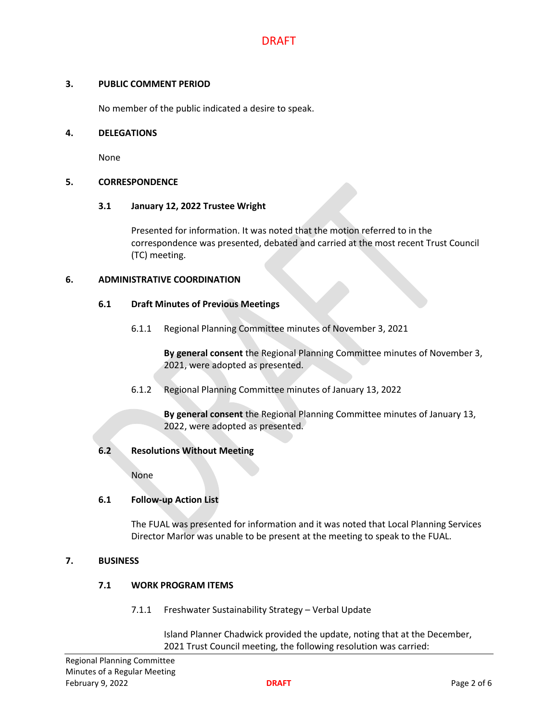## **3. PUBLIC COMMENT PERIOD**

No member of the public indicated a desire to speak.

#### **4. DELEGATIONS**

None

## **5. CORRESPONDENCE**

## **3.1 January 12, 2022 Trustee Wright**

Presented for information. It was noted that the motion referred to in the correspondence was presented, debated and carried at the most recent Trust Council (TC) meeting.

## **6. ADMINISTRATIVE COORDINATION**

## **6.1 Draft Minutes of Previous Meetings**

6.1.1 Regional Planning Committee minutes of November 3, 2021

**By general consent** the Regional Planning Committee minutes of November 3, 2021, were adopted as presented.

6.1.2 Regional Planning Committee minutes of January 13, 2022

**By general consent** the Regional Planning Committee minutes of January 13, 2022, were adopted as presented.

# **6.2 Resolutions Without Meeting**

None

# **6.1 Follow-up Action List**

The FUAL was presented for information and it was noted that Local Planning Services Director Marlor was unable to be present at the meeting to speak to the FUAL.

## **7. BUSINESS**

# **7.1 WORK PROGRAM ITEMS**

7.1.1 Freshwater Sustainability Strategy – Verbal Update

Island Planner Chadwick provided the update, noting that at the December, 2021 Trust Council meeting, the following resolution was carried: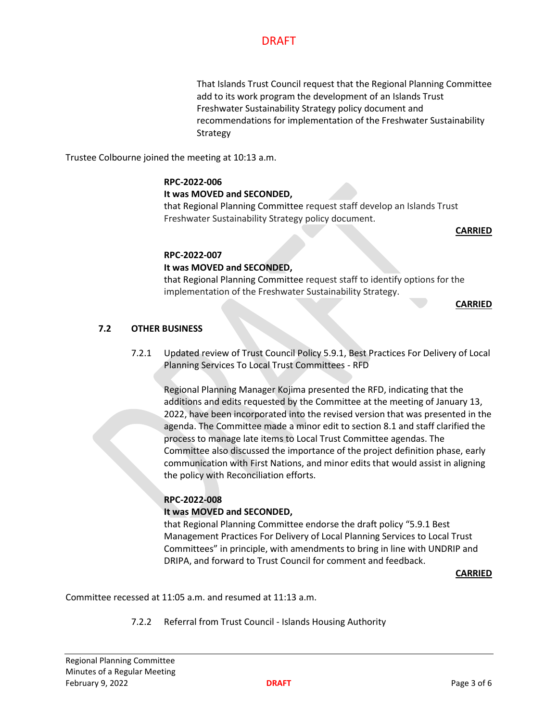That Islands Trust Council request that the Regional Planning Committee add to its work program the development of an Islands Trust Freshwater Sustainability Strategy policy document and recommendations for implementation of the Freshwater Sustainability Strategy

Trustee Colbourne joined the meeting at 10:13 a.m.

# **RPC-2022-006**

# **It was MOVED and SECONDED,**

that Regional Planning Committee request staff develop an Islands Trust Freshwater Sustainability Strategy policy document.

**CARRIED**

## **RPC-2022-007**

# **It was MOVED and SECONDED,**

that Regional Planning Committee request staff to identify options for the implementation of the Freshwater Sustainability Strategy.

**CARRIED**

# **7.2 OTHER BUSINESS**

7.2.1 Updated review of Trust Council Policy 5.9.1, Best Practices For Delivery of Local Planning Services To Local Trust Committees - RFD

Regional Planning Manager Kojima presented the RFD, indicating that the additions and edits requested by the Committee at the meeting of January 13, 2022, have been incorporated into the revised version that was presented in the agenda. The Committee made a minor edit to section 8.1 and staff clarified the process to manage late items to Local Trust Committee agendas. The Committee also discussed the importance of the project definition phase, early communication with First Nations, and minor edits that would assist in aligning the policy with Reconciliation efforts.

# **RPC-2022-008**

# **It was MOVED and SECONDED,**

that Regional Planning Committee endorse the draft policy "5.9.1 Best Management Practices For Delivery of Local Planning Services to Local Trust Committees" in principle, with amendments to bring in line with UNDRIP and DRIPA, and forward to Trust Council for comment and feedback.

#### **CARRIED**

Committee recessed at 11:05 a.m. and resumed at 11:13 a.m.

7.2.2 Referral from Trust Council - Islands Housing Authority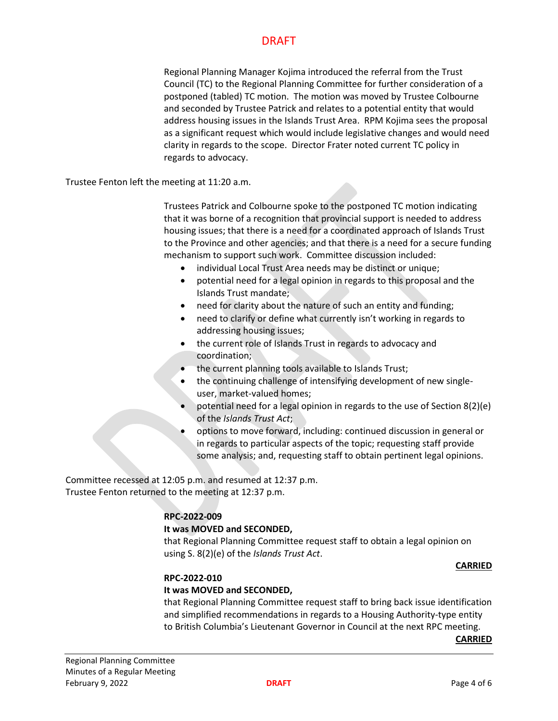Regional Planning Manager Kojima introduced the referral from the Trust Council (TC) to the Regional Planning Committee for further consideration of a postponed (tabled) TC motion. The motion was moved by Trustee Colbourne and seconded by Trustee Patrick and relates to a potential entity that would address housing issues in the Islands Trust Area. RPM Kojima sees the proposal as a significant request which would include legislative changes and would need clarity in regards to the scope. Director Frater noted current TC policy in regards to advocacy.

Trustee Fenton left the meeting at 11:20 a.m.

Trustees Patrick and Colbourne spoke to the postponed TC motion indicating that it was borne of a recognition that provincial support is needed to address housing issues; that there is a need for a coordinated approach of Islands Trust to the Province and other agencies; and that there is a need for a secure funding mechanism to support such work. Committee discussion included:

- individual Local Trust Area needs may be distinct or unique;
- potential need for a legal opinion in regards to this proposal and the Islands Trust mandate;
- need for clarity about the nature of such an entity and funding;
- need to clarify or define what currently isn't working in regards to addressing housing issues;
- the current role of Islands Trust in regards to advocacy and coordination;
- the current planning tools available to Islands Trust;
- the continuing challenge of intensifying development of new singleuser, market-valued homes;
- potential need for a legal opinion in regards to the use of Section 8(2)(e) of the *Islands Trust Act*;
- options to move forward, including: continued discussion in general or in regards to particular aspects of the topic; requesting staff provide some analysis; and, requesting staff to obtain pertinent legal opinions.

Committee recessed at 12:05 p.m. and resumed at 12:37 p.m. Trustee Fenton returned to the meeting at 12:37 p.m.

#### **RPC-2022-009**

#### **It was MOVED and SECONDED,**

that Regional Planning Committee request staff to obtain a legal opinion on using S. 8(2)(e) of the *Islands Trust Act*.

#### **CARRIED**

#### **RPC-2022-010**

### **It was MOVED and SECONDED,**

that Regional Planning Committee request staff to bring back issue identification and simplified recommendations in regards to a Housing Authority-type entity to British Columbia's Lieutenant Governor in Council at the next RPC meeting.

**CARRIED**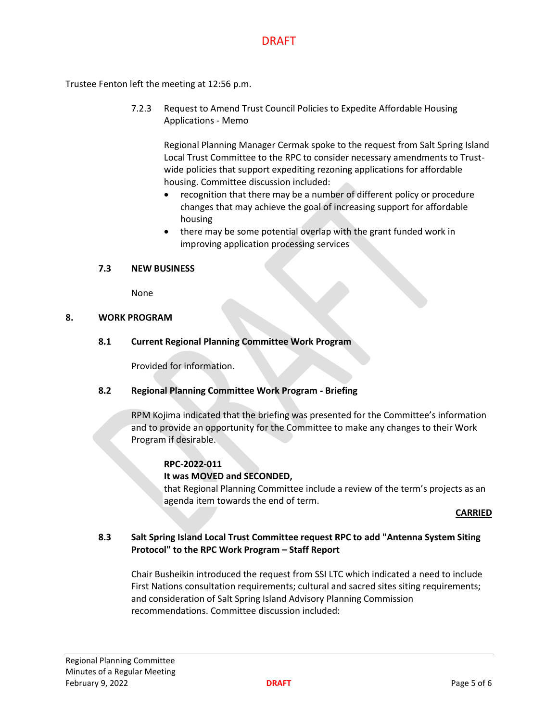Trustee Fenton left the meeting at 12:56 p.m.

7.2.3 Request to Amend Trust Council Policies to Expedite Affordable Housing Applications - Memo

Regional Planning Manager Cermak spoke to the request from Salt Spring Island Local Trust Committee to the RPC to consider necessary amendments to Trustwide policies that support expediting rezoning applications for affordable housing. Committee discussion included:

- recognition that there may be a number of different policy or procedure changes that may achieve the goal of increasing support for affordable housing
- there may be some potential overlap with the grant funded work in improving application processing services

# **7.3 NEW BUSINESS**

None

## **8. WORK PROGRAM**

**8.1 Current Regional Planning Committee Work Program**

Provided for information.

## **8.2 Regional Planning Committee Work Program - Briefing**

RPM Kojima indicated that the briefing was presented for the Committee's information and to provide an opportunity for the Committee to make any changes to their Work Program if desirable.

#### **RPC-2022-011**

#### **It was MOVED and SECONDED,**

that Regional Planning Committee include a review of the term's projects as an agenda item towards the end of term.

#### **CARRIED**

# **8.3 Salt Spring Island Local Trust Committee request RPC to add "Antenna System Siting Protocol" to the RPC Work Program – Staff Report**

Chair Busheikin introduced the request from SSI LTC which indicated a need to include First Nations consultation requirements; cultural and sacred sites siting requirements; and consideration of Salt Spring Island Advisory Planning Commission recommendations. Committee discussion included: